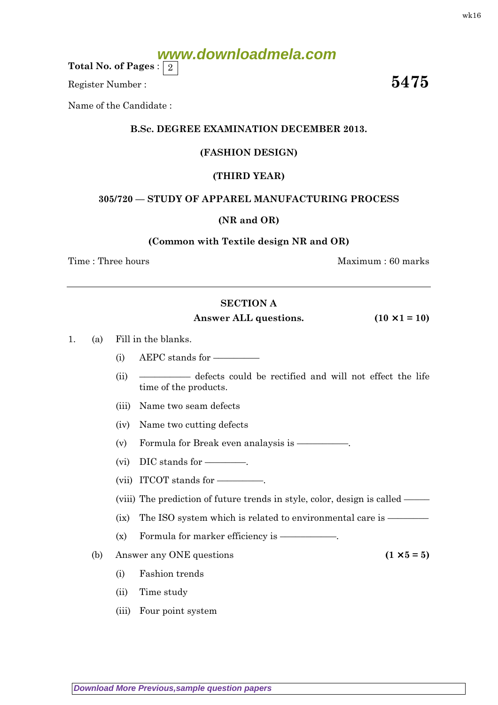# **www.downloadmela.com**

Total No. of Pages :  $\mid 2 \rangle$ 

Register Number :  $\overline{\hspace{1.6cm}5475}$ 

Name of the Candidate :

## B.Sc. DEGREE EXAMINATION DECEMBER 2013.

## (FASHION DESIGN)

## (THIRD YEAR)

## 305/720 — STUDY OF APPAREL MANUFACTURING PROCESS

#### (NR and OR)

#### (Common with Textile design NR and OR)

Time : Three hours and the set of the set of the Maximum : 60 marks

## SECTION A

#### Answer ALL questions.  $(10 \times 1 = 10)$

1. (a) Fill in the blanks.

- (i) AEPC stands for  $-$
- (ii) –––––––––– defects could be rectified and will not effect the life time of the products.
- (iii) Name two seam defects
- (iv) Name two cutting defects

(v) Formula for Break even analaysis is ––––––––––.

- (vi) DIC stands for ––––––––.
- (vii) ITCOT stands for –––––––––.

(viii) The prediction of future trends in style, color, design is called –––––

- $(ix)$  The ISO system which is related to environmental care is  $-\frac{1}{2}$
- $(x)$  Formula for marker efficiency is  $-$
- (b) Answer any ONE questions ( $1 \times 5 = 5$ )
	- (i) Fashion trends
	- (ii) Time study
	- (iii) Four point system